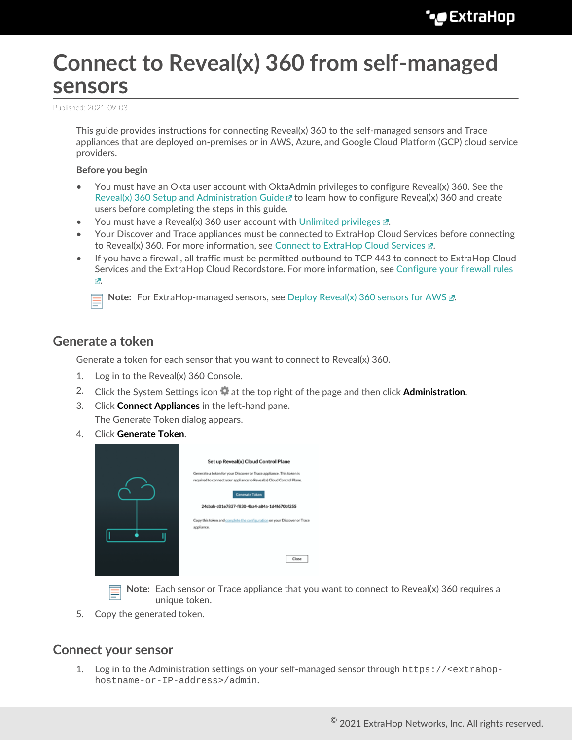# **Connect to Reveal(x) 360 from self-managed sensors**

Published: 2021-09-03

This guide provides instructions for connecting Reveal(x) 360 to the self-managed sensors and Trace appliances that are deployed on-premises or in AWS, Azure, and Google Cloud Platform (GCP) cloud service providers.

#### **Before you begin**

- You must have an Okta user account with OktaAdmin privileges to configure Reveal(x) 360. See the [Reveal\(x\) 360 Setup and Administration Guide](https://docs.extrahop.com/8.2/rx360-setup-admin)  $\mathbb F$  to learn how to configure Reveal(x) 360 and create users before completing the steps in this guide.
- You must have a Reveal(x) 360 user account with [Unlimited privileges .](https://docs.extrahop.com/8.2/users-overview/#user-privileges)..
- Your Discover and Trace appliances must be connected to ExtraHop Cloud Services before connecting to Reveal(x) 360. For more information, see [Connect to ExtraHop Cloud Services .](https://docs.extrahop.com/8.2/eh-cloud-services)..
- If you have a firewall, all traffic must be permitted outbound to TCP 443 to connect to ExtraHop Cloud Services and the ExtraHop Cloud Recordstore. For more information, see [Configure your firewall rules](https://docs.extrahop.com/8.2/rx360-setup-admin/#configure-your-firewall-rules) [.](https://docs.extrahop.com/8.2/rx360-setup-admin/#configure-your-firewall-rules)

**Note:** For ExtraHop-managed sensors, see [Deploy Reveal\(x\) 360 sensors for AWS .](https://docs.extrahop.com/8.2/dep-360-aws)..

#### **Generate a token**

Generate a token for each sensor that you want to connect to Reveal(x) 360.

- 1. Log in to the Reveal(x) 360 Console.
- 2. Click the System Settings icon at the top right of the page and then click **Administration**.
- 3. Click **Connect Appliances** in the left-hand pane. The Generate Token dialog appears.
- 4. Click **Generate Token**.

| Set up Reveal(x) Cloud Control Plane                                                                                                         |
|----------------------------------------------------------------------------------------------------------------------------------------------|
| Generate a token for your Discover or Trace appliance. This token is<br>required to connect your appliance to Reveal(x) Cloud Control Plane. |
| <b>Generate Token</b><br>24cbab-c01e7837-f830-4ba4-a84a-1d4f670bf255                                                                         |
| Copy this token and complete the configuration on your Discover or Trace<br>appliance.                                                       |
| Close                                                                                                                                        |
|                                                                                                                                              |

**Note:** Each sensor or Trace appliance that you want to connect to Reveal(x) 360 requires a unique token.

5. Copy the generated token.

#### **Connect your sensor**

1. Log in to the Administration settings on your self-managed sensor through https://<extrahophostname-or-IP-address>/admin.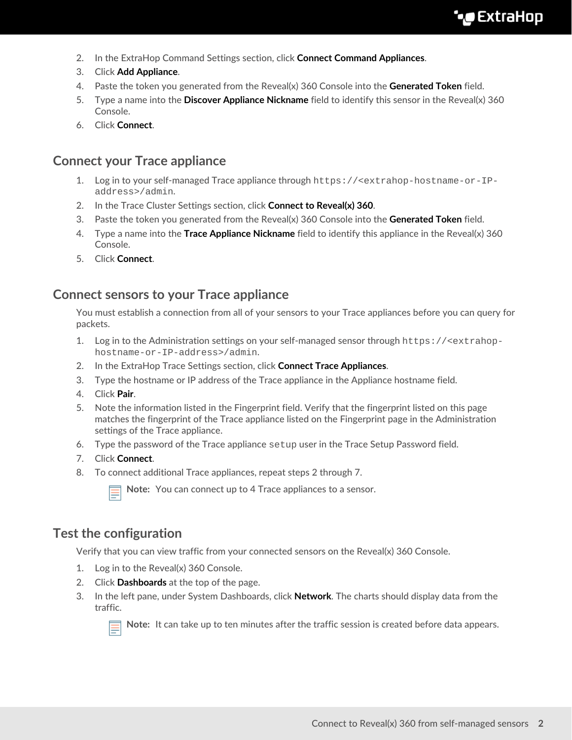- 2. In the ExtraHop Command Settings section, click **Connect Command Appliances**.
- 3. Click **Add Appliance**.
- 4. Paste the token you generated from the Reveal(x) 360 Console into the **Generated Token** field.
- 5. Type a name into the **Discover Appliance Nickname** field to identify this sensor in the Reveal(x) 360 Console.
- 6. Click **Connect**.

## **Connect your Trace appliance**

- 1. Log in to your self-managed Trace appliance through https://<extrahop-hostname-or-IPaddress>/admin.
- 2. In the Trace Cluster Settings section, click **Connect to Reveal(x) 360**.
- 3. Paste the token you generated from the Reveal(x) 360 Console into the **Generated Token** field.
- 4. Type a name into the **Trace Appliance Nickname** field to identify this appliance in the Reveal(x) 360 Console.
- 5. Click **Connect**.

### **Connect sensors to your Trace appliance**

You must establish a connection from all of your sensors to your Trace appliances before you can query for packets.

- 1. Log in to the Administration settings on your self-managed sensor through https://<extrahophostname-or-IP-address>/admin.
- 2. In the ExtraHop Trace Settings section, click **Connect Trace Appliances**.
- 3. Type the hostname or IP address of the Trace appliance in the Appliance hostname field.
- 4. Click **Pair**.
- 5. Note the information listed in the Fingerprint field. Verify that the fingerprint listed on this page matches the fingerprint of the Trace appliance listed on the Fingerprint page in the Administration settings of the Trace appliance.
- 6. Type the password of the Trace appliance setup user in the Trace Setup Password field.
- 7. Click **Connect**.
- 8. To connect additional Trace appliances, repeat steps 2 through 7.

**Note:** You can connect up to 4 Trace appliances to a sensor.

# **Test the configuration**

Verify that you can view traffic from your connected sensors on the Reveal(x) 360 Console.

- 1. Log in to the Reveal(x) 360 Console.
- 2. Click **Dashboards** at the top of the page.
- 3. In the left pane, under System Dashboards, click **Network**. The charts should display data from the traffic.



**Note:** It can take up to ten minutes after the traffic session is created before data appears.